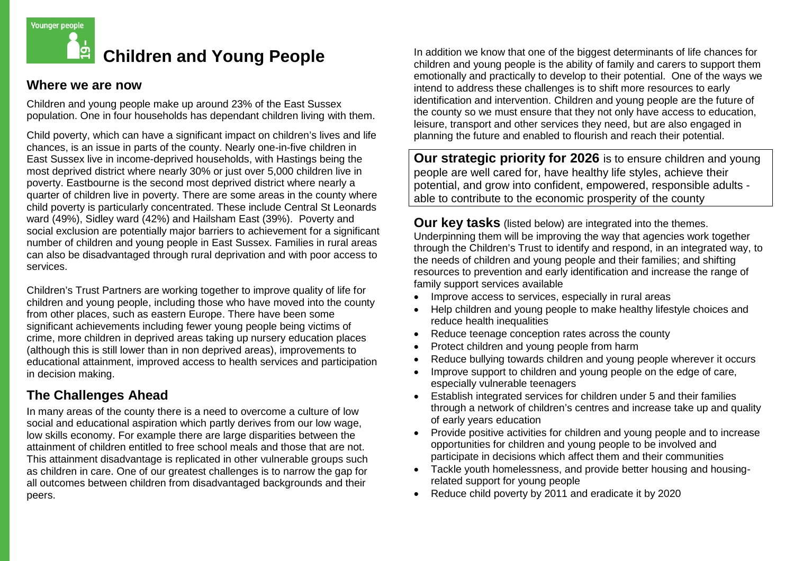

## **Children and Young People**

## **Where we are now**

Children and young people make up around 23% of the East Sussex population. One in four households has dependant children living with them.

Child poverty, which can have a significant impact on children's lives and life chances, is an issue in parts of the county. Nearly one-in-five children in East Sussex live in income-deprived households, with Hastings being the most deprived district where nearly 30% or just over 5,000 children live in poverty. Eastbourne is the second most deprived district where nearly a quarter of children live in poverty. There are some areas in the county where child poverty is particularly concentrated. These include Central St Leonards ward (49%), Sidley ward (42%) and Hailsham East (39%). Poverty and social exclusion are potentially major barriers to achievement for a significant number of children and young people in East Sussex. Families in rural areas can also be disadvantaged through rural deprivation and with poor access to services.

Children's Trust Partners are working together to improve quality of life for children and young people, including those who have moved into the county from other places, such as eastern Europe. There have been some significant achievements including fewer young people being victims of crime, more children in deprived areas taking up nursery education places (although this is still lower than in non deprived areas), improvements to educational attainment, improved access to health services and participation in decision making.

## **The Challenges Ahead**

In many areas of the county there is a need to overcome a culture of low social and educational aspiration which partly derives from our low wage, low skills economy. For example there are large disparities between the attainment of children entitled to free school meals and those that are not. This attainment disadvantage is replicated in other vulnerable groups such as children in care. One of our greatest challenges is to narrow the gap for all outcomes between children from disadvantaged backgrounds and their peers.

In addition we know that one of the biggest determinants of life chances for children and young people is the ability of family and carers to support them emotionally and practically to develop to their potential. One of the ways we intend to address these challenges is to shift more resources to early identification and intervention. Children and young people are the future of the county so we must ensure that they not only have access to education, leisure, transport and other services they need, but are also engaged in planning the future and enabled to flourish and reach their potential.

**Our strategic priority for 2026** is to ensure children and young people are well cared for, have healthy life styles, achieve their potential, and grow into confident, empowered, responsible adults able to contribute to the economic prosperity of the county

**Our key tasks** (listed below) are integrated into the themes. Underpinning them will be improving the way that agencies work together through the Children's Trust to identify and respond, in an integrated way, to the needs of children and young people and their families; and shifting resources to prevention and early identification and increase the range of family support services available

- Improve access to services, especially in rural areas
- Help children and young people to make healthy lifestyle choices and reduce health inequalities
- Reduce teenage conception rates across the county
- Protect children and young people from harm
- Reduce bullying towards children and young people wherever it occurs
- Improve support to children and young people on the edge of care, especially vulnerable teenagers
- Establish integrated services for children under 5 and their families through a network of children's centres and increase take up and quality of early years education
- Provide positive activities for children and young people and to increase opportunities for children and young people to be involved and participate in decisions which affect them and their communities
- Tackle youth homelessness, and provide better housing and housingrelated support for young people
- Reduce child poverty by 2011 and eradicate it by 2020